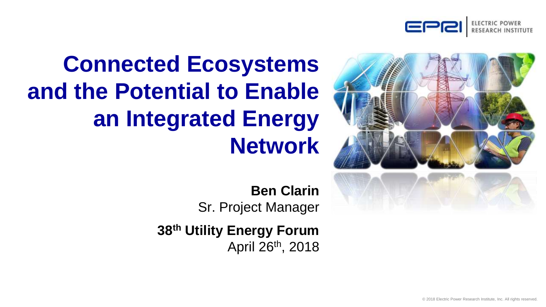



# **Connected Ecosystems and the Potential to Enable an Integrated Energy Network**

**Ben Clarin**  Sr. Project Manager

**38th Utility Energy Forum** April 26th, 2018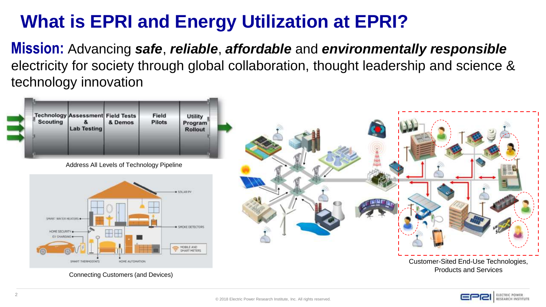## **What is EPRI and Energy Utilization at EPRI?**

**Mission:** Advancing *safe*, *reliable*, *affordable* and *environmentally responsible*  electricity for society through global collaboration, thought leadership and science & technology innovation



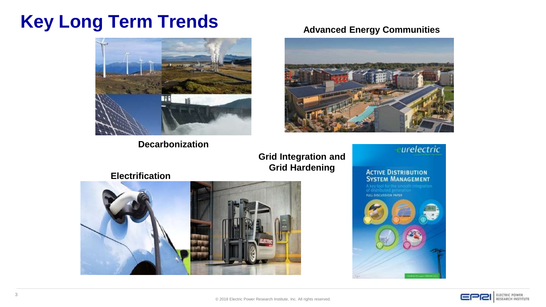## **Key Long Term Trends**



**Decarbonization**

**Advanced Energy Communities**



**Grid Integration and Grid Hardening**

**Electrification**



urelectric

**ACTIVE DISTRIBUTION**<br>**SYSTEM MANAGEMENT** 

**FULL DISCUSSION PAPER** 



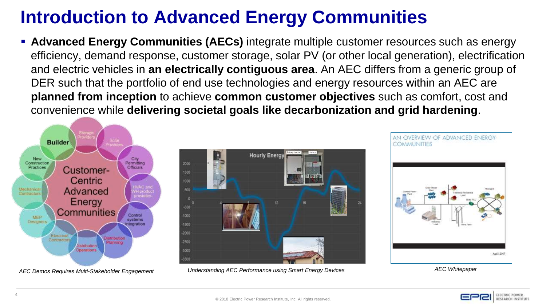## **Introduction to Advanced Energy Communities**

**EXPED Advanced Energy Communities (AECs)** integrate multiple customer resources such as energy efficiency, demand response, customer storage, solar PV (or other local generation), electrification and electric vehicles in **an electrically contiguous area**. An AEC differs from a generic group of DER such that the portfolio of end use technologies and energy resources within an AEC are **planned from inception** to achieve **common customer objectives** such as comfort, cost and convenience while **delivering societal goals like decarbonization and grid hardening**.





AEC Demos Requires Multi-Stakeholder Engagement **-Statebolder Standing AEC Performance using Smart Energy Devices** -State -State -State -State -State -State -State -State -State -State -State -State -State -State -State -S



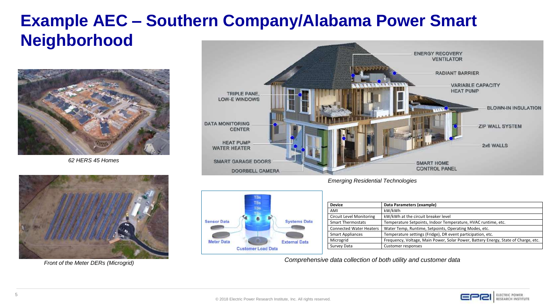### **Example AEC – Southern Company/Alabama Power Smart Neighborhood**



*62 HERS 45 Homes* 



*Front of the Meter DERs (Microgrid)* 



*Emerging Residential Technologies*



| <b>Device</b>                  | Data Parameters (example)                                                          |
|--------------------------------|------------------------------------------------------------------------------------|
| AMI                            | kW/kWh                                                                             |
| Circuit Level Monitoring       | kW/kWh at the circuit breaker level                                                |
| <b>Smart Thermostats</b>       | Temperature Setpoints, Indoor Temperature, HVAC runtime, etc.                      |
| <b>Connected Water Heaters</b> | Water Temp, Runtime, Setpoints, Operating Modes, etc.                              |
| <b>Smart Appliances</b>        | Temperature settings (Fridge), DR event participation, etc.                        |
| Microgrid                      | Frequency, Voltage, Main Power, Solar Power, Battery Energy, State of Charge, etc. |
| Survey Data                    | Customer responses                                                                 |

*Comprehensive data collection of both utility and customer data* 

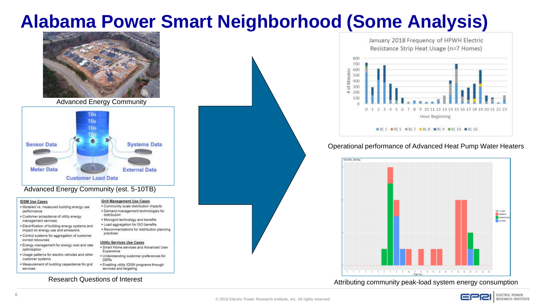## **Alabama Power Smart Neighborhood (Some Analysis)**



Advanced Energy Community



#### Advanced Energy Community (est. 5-10TB)

#### **IDSM Use Cases**

- · Modeled vs. measured building energy use performance
- · Customer acceptance of utility energy management services
- impact on energy use and emissions
- . Control systems for aggregation of customer owned resources
- · Energy management for energy cost and rate optimization
- · Usage patterns for electric vehicles and other customer systems
- . Measurement of building capacitance for grid services

#### **Grid Management Use Cases**

· Community scale distribution impacts · Demand management technologies for distribution management services with the state of the Microgrid technology and benefits.<br>Electrification of building energy systems and the agregation for ISO benefits · Recommendations for distribution planning practices

#### **Utility Services Use Cases** · Smart Home services and Advanced User

- Experience · Understanding customer preferences for **DERs**
- . Enabling utility IDSM programs through services and targeting

#### Research Questions of Interest



January 2018 Frequency of HPWH Electric Resistance Strip Heat Usage (n=7 Homes)



#### Operational performance of Advanced Heat Pump Water Heaters



Attributing community peak-load system energy consumption

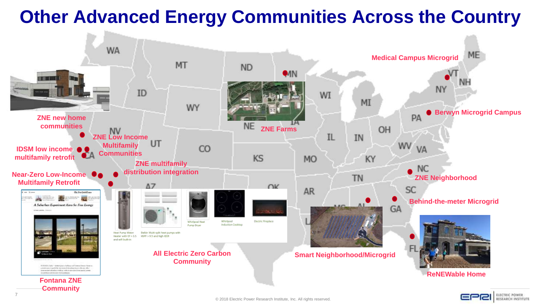## **Other Advanced Energy Communities Across the Country**



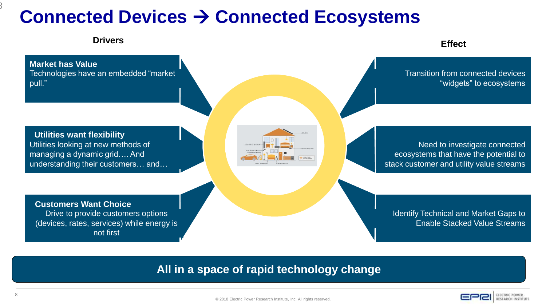## **Connected Devices → Connected Ecosystems**



#### **All in a space of rapid technology change**



8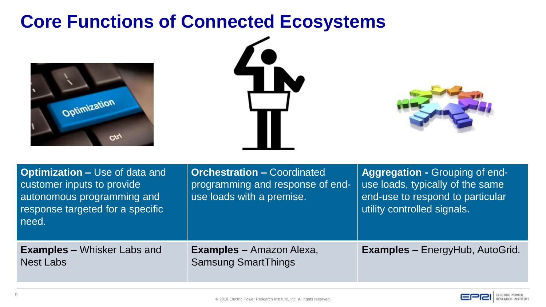### **Core Functions of Connected Ecosystems**







| <b>Optimization – Use of data and</b><br>customer inputs to provide<br>autonomous programming and<br>response targeted for a specific<br>need. | <b>Orchestration - Coordinated</b><br>programming and response of end-<br>use loads with a premise. | Aggregation - Grouping of end-<br>use loads, typically of the same<br>end-use to respond to particular<br>utility controlled signals. |
|------------------------------------------------------------------------------------------------------------------------------------------------|-----------------------------------------------------------------------------------------------------|---------------------------------------------------------------------------------------------------------------------------------------|
| <b>Examples – Whisker Labs and</b><br><b>Nest Labs</b>                                                                                         | <b>Examples – Amazon Alexa,</b><br><b>Samsung SmartThings</b>                                       | <b>Examples - EnergyHub, AutoGrid.</b>                                                                                                |

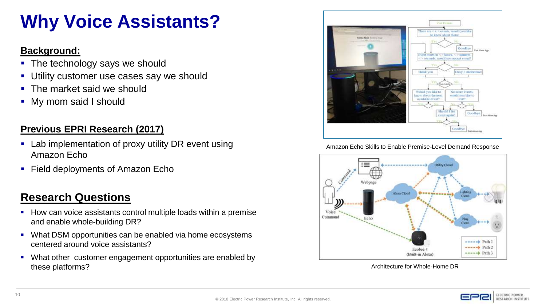## **Why Voice Assistants?**

#### **Background:**

- The technology says we should
- **.** Utility customer use cases say we should
- The market said we should
- My mom said I should

#### **Previous EPRI Research (2017)**

- Lab implementation of proxy utility DR event using Amazon Echo
- Field deployments of Amazon Echo

### **Research Questions**

- How can voice assistants control multiple loads within a premise and enable whole-building DR?
- What DSM opportunities can be enabled via home ecosystems centered around voice assistants?
- What other customer engagement opportunities are enabled by these platforms?



Amazon Echo Skills to Enable Premise-Level Demand Response



Architecture for Whole-Home DR

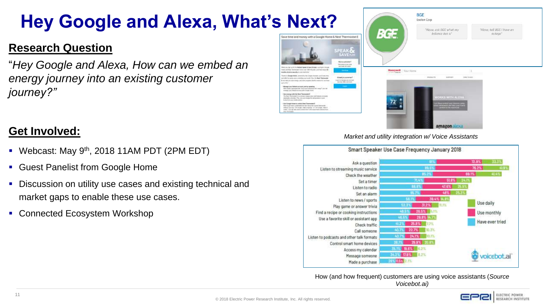# **Hey Google and Alexa, What's Next?**

### **Research Question**

"*Hey Google and Alexa, How can we embed an energy journey into an existing customer journey?"*

### **Get Involved:**

- Webcast: May  $9<sup>th</sup>$ , 2018 11AM PDT (2PM EDT)
- Guest Panelist from Google Home
- Discussion on utility use cases and existing technical and market gaps to enable these use cases.
- Connected Ecosystem Workshop



#### *Market and utility integration w/ Voice Assistants*



How (and how frequent) customers are using voice assistants (*Source Voicebot.ai)*

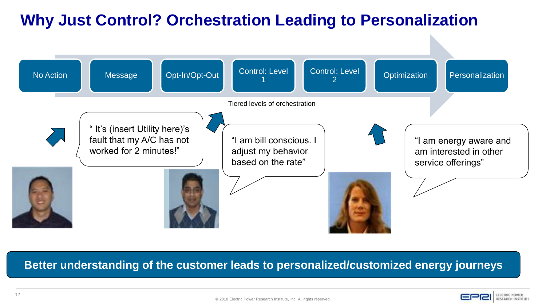### **Why Just Control? Orchestration Leading to Personalization**



#### **Better understanding of the customer leads to personalized/customized energy journeys**

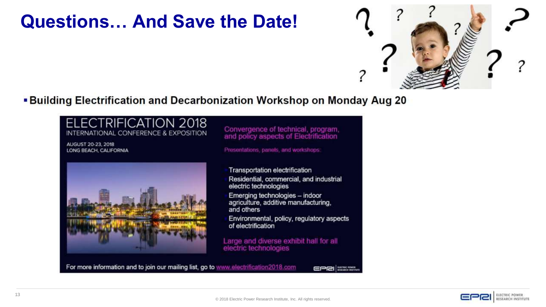### **Questions… And Save the Date!**



■ Building Electrification and Decarbonization Workshop on Monday Aug 20



For more information and to join our mailing list, go to www.electrification2018.com

 $EPEI$   $\frac{1}{100}$   $\frac{1}{100}$   $\frac{1}{100}$